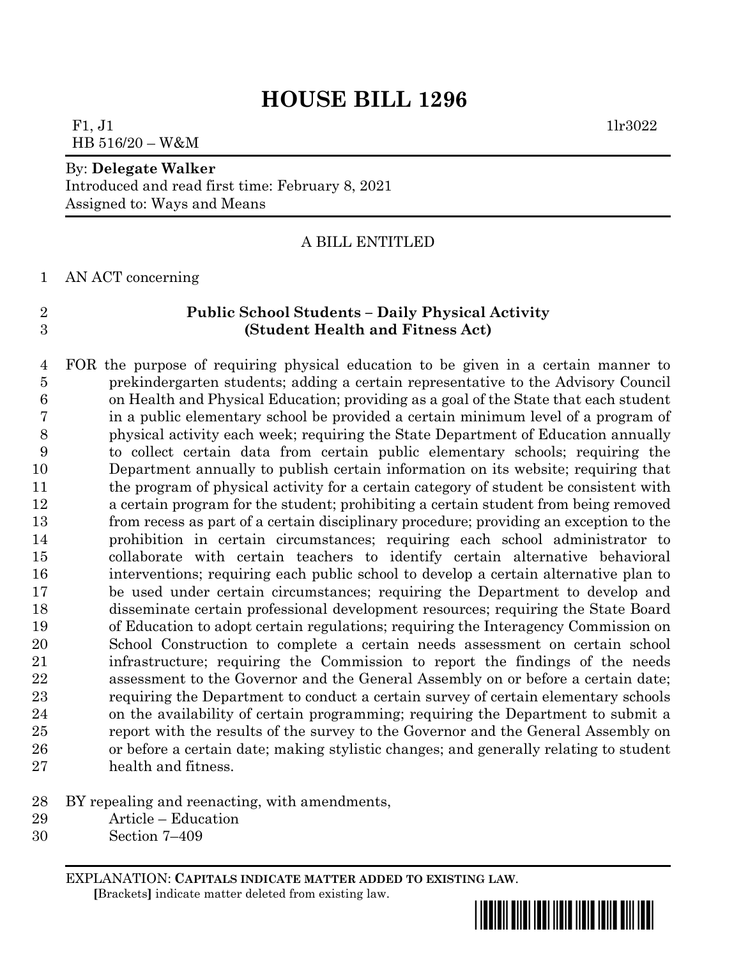### F1,  $J1$  1lr3022 HB 516/20 – W&M

#### By: **Delegate Walker**

Introduced and read first time: February 8, 2021 Assigned to: Ways and Means

#### A BILL ENTITLED

AN ACT concerning

#### **Public School Students – Daily Physical Activity (Student Health and Fitness Act)**

 FOR the purpose of requiring physical education to be given in a certain manner to prekindergarten students; adding a certain representative to the Advisory Council on Health and Physical Education; providing as a goal of the State that each student in a public elementary school be provided a certain minimum level of a program of physical activity each week; requiring the State Department of Education annually to collect certain data from certain public elementary schools; requiring the Department annually to publish certain information on its website; requiring that the program of physical activity for a certain category of student be consistent with a certain program for the student; prohibiting a certain student from being removed from recess as part of a certain disciplinary procedure; providing an exception to the prohibition in certain circumstances; requiring each school administrator to collaborate with certain teachers to identify certain alternative behavioral interventions; requiring each public school to develop a certain alternative plan to be used under certain circumstances; requiring the Department to develop and disseminate certain professional development resources; requiring the State Board of Education to adopt certain regulations; requiring the Interagency Commission on School Construction to complete a certain needs assessment on certain school infrastructure; requiring the Commission to report the findings of the needs assessment to the Governor and the General Assembly on or before a certain date; requiring the Department to conduct a certain survey of certain elementary schools on the availability of certain programming; requiring the Department to submit a report with the results of the survey to the Governor and the General Assembly on or before a certain date; making stylistic changes; and generally relating to student health and fitness.

- BY repealing and reenacting, with amendments,
- Article Education
- Section 7–409

EXPLANATION: **CAPITALS INDICATE MATTER ADDED TO EXISTING LAW**.  **[**Brackets**]** indicate matter deleted from existing law.

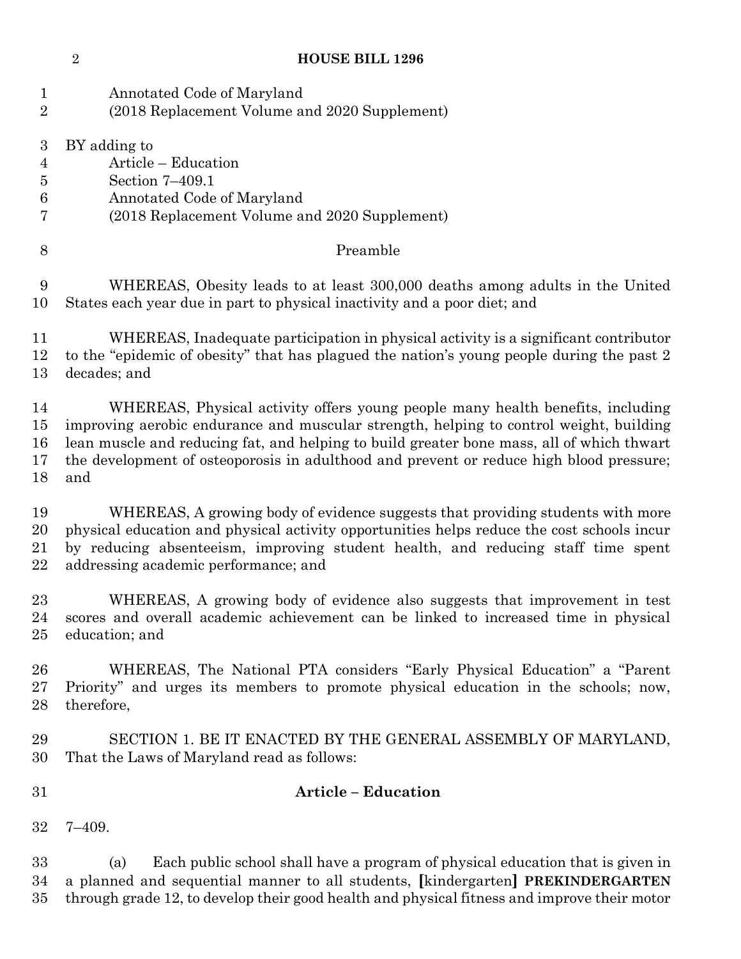| $\mathbf{1}$     | Annotated Code of Maryland                                                                                                                                                                                                                                              |
|------------------|-------------------------------------------------------------------------------------------------------------------------------------------------------------------------------------------------------------------------------------------------------------------------|
| $\overline{2}$   | (2018 Replacement Volume and 2020 Supplement)                                                                                                                                                                                                                           |
| $\boldsymbol{3}$ | BY adding to                                                                                                                                                                                                                                                            |
| $\overline{4}$   | Article - Education                                                                                                                                                                                                                                                     |
| $\overline{5}$   | Section 7-409.1                                                                                                                                                                                                                                                         |
| $\,6$            | Annotated Code of Maryland                                                                                                                                                                                                                                              |
| 7                | (2018 Replacement Volume and 2020 Supplement)                                                                                                                                                                                                                           |
| $8\,$            | Preamble                                                                                                                                                                                                                                                                |
| 9                | WHEREAS, Obesity leads to at least 300,000 deaths among adults in the United                                                                                                                                                                                            |
| 10               | States each year due in part to physical inactivity and a poor diet; and                                                                                                                                                                                                |
| 11               | WHEREAS, Inadequate participation in physical activity is a significant contributor                                                                                                                                                                                     |
| 12               | to the "epidemic of obesity" that has plagued the nation's young people during the past 2                                                                                                                                                                               |
| 13               | decades; and                                                                                                                                                                                                                                                            |
| 14               | WHEREAS, Physical activity offers young people many health benefits, including                                                                                                                                                                                          |
| 15               | improving aerobic endurance and muscular strength, helping to control weight, building                                                                                                                                                                                  |
| 16               | lean muscle and reducing fat, and helping to build greater bone mass, all of which thwart                                                                                                                                                                               |
| 17               | the development of osteoporosis in adulthood and prevent or reduce high blood pressure;                                                                                                                                                                                 |
| 18               | and                                                                                                                                                                                                                                                                     |
| 19               | WHEREAS, A growing body of evidence suggests that providing students with more                                                                                                                                                                                          |
| 20               | physical education and physical activity opportunities helps reduce the cost schools incur                                                                                                                                                                              |
| 21               | by reducing absenteeism, improving student health, and reducing staff time spent                                                                                                                                                                                        |
| 22               | addressing academic performance; and                                                                                                                                                                                                                                    |
| 23               | WHEREAS, A growing body of evidence also suggests that improvement in test                                                                                                                                                                                              |
| 24               | scores and overall academic achievement can be linked to increased time in physical                                                                                                                                                                                     |
| 25               | education; and                                                                                                                                                                                                                                                          |
| 26               | WHEREAS, The National PTA considers "Early Physical Education" a "Parent"                                                                                                                                                                                               |
| 27               | Priority" and urges its members to promote physical education in the schools; now,                                                                                                                                                                                      |
| 28               | therefore,                                                                                                                                                                                                                                                              |
| 29               | SECTION 1. BE IT ENACTED BY THE GENERAL ASSEMBLY OF MARYLAND,                                                                                                                                                                                                           |
| 30               | That the Laws of Maryland read as follows:                                                                                                                                                                                                                              |
| 31               | <b>Article - Education</b>                                                                                                                                                                                                                                              |
| 32               | $7 - 409.$                                                                                                                                                                                                                                                              |
| 33<br>34<br>35   | Each public school shall have a program of physical education that is given in<br>(a)<br>a planned and sequential manner to all students, [kindergarten] PREKINDERGARTEN<br>through grade 12, to develop their good health and physical fitness and improve their motor |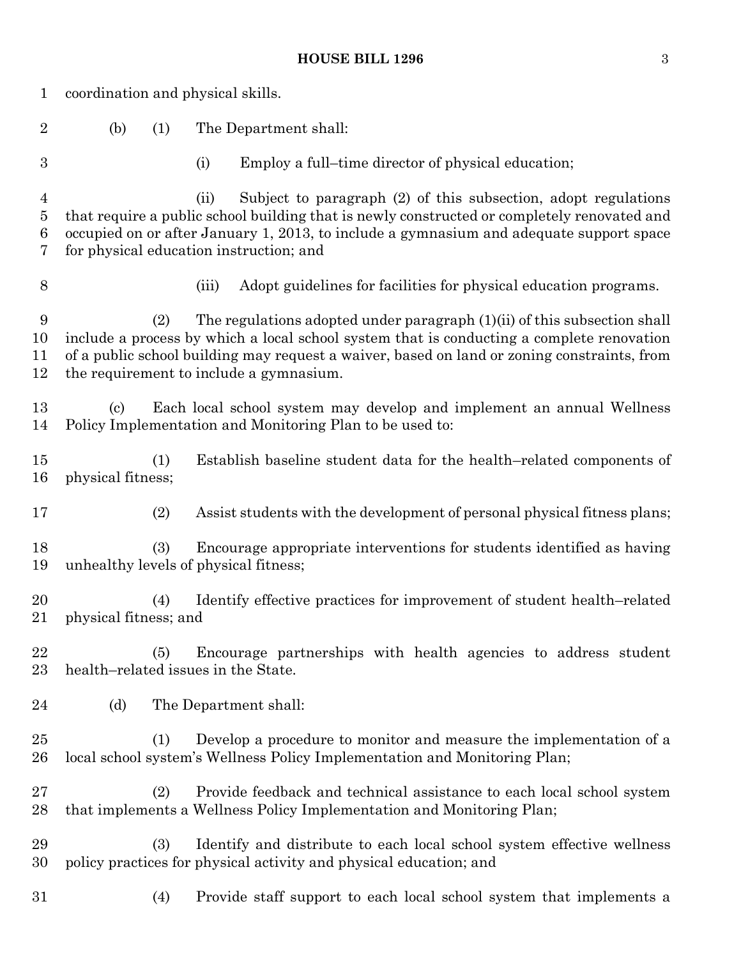| 1                             | coordination and physical skills.     |     |       |                                                                                                                                                                                                                                                                                                                 |
|-------------------------------|---------------------------------------|-----|-------|-----------------------------------------------------------------------------------------------------------------------------------------------------------------------------------------------------------------------------------------------------------------------------------------------------------------|
| $\overline{2}$                | (b)                                   | (1) |       | The Department shall:                                                                                                                                                                                                                                                                                           |
| $\boldsymbol{3}$              |                                       |     | (i)   | Employ a full-time director of physical education;                                                                                                                                                                                                                                                              |
| 4<br>$\overline{5}$<br>6<br>7 |                                       |     | (ii)  | Subject to paragraph (2) of this subsection, adopt regulations<br>that require a public school building that is newly constructed or completely renovated and<br>occupied on or after January 1, 2013, to include a gymnasium and adequate support space<br>for physical education instruction; and             |
| $8\,$                         |                                       |     | (iii) | Adopt guidelines for facilities for physical education programs.                                                                                                                                                                                                                                                |
| 9<br>10<br>11<br>12           |                                       | (2) |       | The regulations adopted under paragraph (1)(ii) of this subsection shall<br>include a process by which a local school system that is conducting a complete renovation<br>of a public school building may request a waiver, based on land or zoning constraints, from<br>the requirement to include a gymnasium. |
| 13<br>14                      | $\left( \mathrm{c}\right)$            |     |       | Each local school system may develop and implement an annual Wellness<br>Policy Implementation and Monitoring Plan to be used to:                                                                                                                                                                               |
| $15\,$<br>16                  | physical fitness;                     | (1) |       | Establish baseline student data for the health–related components of                                                                                                                                                                                                                                            |
| 17                            |                                       | (2) |       | Assist students with the development of personal physical fitness plans;                                                                                                                                                                                                                                        |
| 18<br>19                      | unhealthy levels of physical fitness; | (3) |       | Encourage appropriate interventions for students identified as having                                                                                                                                                                                                                                           |
| 20<br>21                      | physical fitness; and                 | (4) |       | Identify effective practices for improvement of student health-related                                                                                                                                                                                                                                          |
| 22<br>$23\,$                  | health-related issues in the State.   | (5) |       | Encourage partnerships with health agencies to address student                                                                                                                                                                                                                                                  |
| 24                            | (d)                                   |     |       | The Department shall:                                                                                                                                                                                                                                                                                           |
| $25\,$<br>26                  |                                       | (1) |       | Develop a procedure to monitor and measure the implementation of a<br>local school system's Wellness Policy Implementation and Monitoring Plan;                                                                                                                                                                 |
| $27\,$<br>28                  |                                       | (2) |       | Provide feedback and technical assistance to each local school system<br>that implements a Wellness Policy Implementation and Monitoring Plan;                                                                                                                                                                  |
| 29<br>30                      |                                       | (3) |       | Identify and distribute to each local school system effective wellness<br>policy practices for physical activity and physical education; and                                                                                                                                                                    |
| $31\,$                        |                                       | (4) |       | Provide staff support to each local school system that implements a                                                                                                                                                                                                                                             |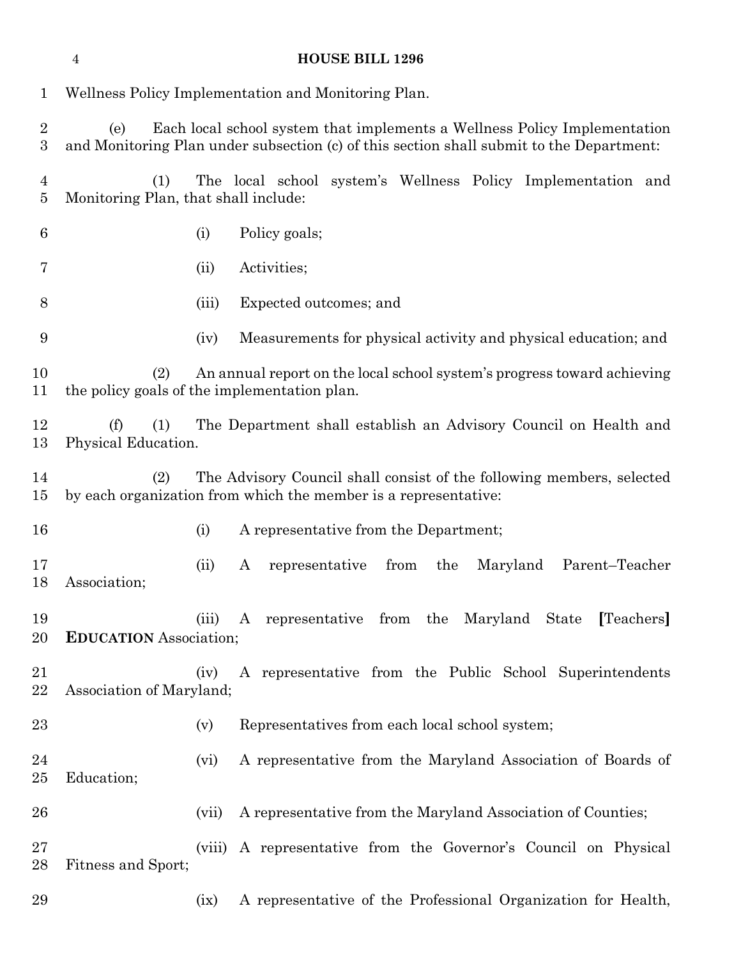| 1                   |                                                     |        | Wellness Policy Implementation and Monitoring Plan.                                                                                                                   |
|---------------------|-----------------------------------------------------|--------|-----------------------------------------------------------------------------------------------------------------------------------------------------------------------|
| $\overline{2}$<br>3 | (e)                                                 |        | Each local school system that implements a Wellness Policy Implementation<br>and Monitoring Plan under subsection (c) of this section shall submit to the Department: |
| 4<br>5              | (1)<br>Monitoring Plan, that shall include:         |        | The local school system's Wellness Policy Implementation and                                                                                                          |
| 6                   |                                                     | (i)    | Policy goals;                                                                                                                                                         |
| 7                   |                                                     | (ii)   | Activities;                                                                                                                                                           |
| 8                   |                                                     | (iii)  | Expected outcomes; and                                                                                                                                                |
| 9                   |                                                     | (iv)   | Measurements for physical activity and physical education; and                                                                                                        |
| 10<br>11            | (2)<br>the policy goals of the implementation plan. |        | An annual report on the local school system's progress toward achieving                                                                                               |
| 12<br>13            | (f)<br>(1)<br>Physical Education.                   |        | The Department shall establish an Advisory Council on Health and                                                                                                      |
| 14<br>15            | (2)                                                 |        | The Advisory Council shall consist of the following members, selected<br>by each organization from which the member is a representative:                              |
| 16                  |                                                     | (i)    | A representative from the Department;                                                                                                                                 |
| 17<br>18            | Association;                                        | (ii)   | from<br>Parent-Teacher<br>representative<br>the<br>Maryland<br>A                                                                                                      |
| 19<br>20            | <b>EDUCATION</b> Association;                       | (iii)  | A representative from the Maryland State<br>[Teachers]                                                                                                                |
| 21<br>22            | Association of Maryland;                            | (iv)   | A representative from the Public School Superintendents                                                                                                               |
| 23                  |                                                     | (v)    | Representatives from each local school system;                                                                                                                        |
| 24<br>25            | Education;                                          | (vi)   | A representative from the Maryland Association of Boards of                                                                                                           |
| 26                  |                                                     | (vii)  | A representative from the Maryland Association of Counties;                                                                                                           |
| $27\,$<br>28        | Fitness and Sport;                                  | (viii) | A representative from the Governor's Council on Physical                                                                                                              |
| 29                  |                                                     | (ix)   | A representative of the Professional Organization for Health,                                                                                                         |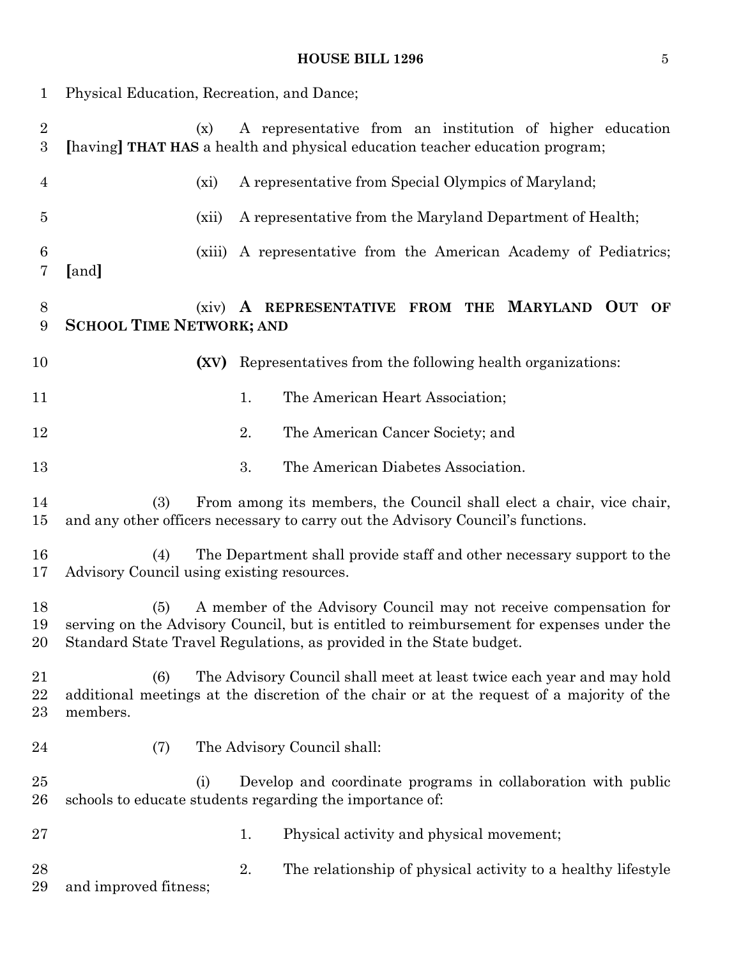# **HOUSE BILL 1296** 5

| 1                                | Physical Education, Recreation, and Dance;        |        |                                                                                                                                                                                                                                      |
|----------------------------------|---------------------------------------------------|--------|--------------------------------------------------------------------------------------------------------------------------------------------------------------------------------------------------------------------------------------|
| $\overline{2}$<br>$\overline{3}$ | (x)                                               |        | A representative from an institution of higher education<br>[having] THAT HAS a health and physical education teacher education program;                                                                                             |
| $\overline{4}$                   | $(x_i)$                                           |        | A representative from Special Olympics of Maryland;                                                                                                                                                                                  |
| 5                                |                                                   | (xii)  | A representative from the Maryland Department of Health;                                                                                                                                                                             |
| $6\phantom{.}6$<br>7             | [and]                                             | (xiii) | A representative from the American Academy of Pediatrics;                                                                                                                                                                            |
| 8<br>9                           | <b>SCHOOL TIME NETWORK; AND</b>                   |        | (xiv) A REPRESENTATIVE FROM THE MARYLAND OUT OF                                                                                                                                                                                      |
| 10                               |                                                   | (XV)   | Representatives from the following health organizations:                                                                                                                                                                             |
| 11                               |                                                   | 1.     | The American Heart Association;                                                                                                                                                                                                      |
| 12                               |                                                   | 2.     | The American Cancer Society; and                                                                                                                                                                                                     |
| 13                               |                                                   | 3.     | The American Diabetes Association.                                                                                                                                                                                                   |
| 14<br>15                         | (3)                                               |        | From among its members, the Council shall elect a chair, vice chair,<br>and any other officers necessary to carry out the Advisory Council's functions.                                                                              |
| 16<br>17                         | (4)<br>Advisory Council using existing resources. |        | The Department shall provide staff and other necessary support to the                                                                                                                                                                |
| 18<br>19<br>20                   | (5)                                               |        | A member of the Advisory Council may not receive compensation for<br>serving on the Advisory Council, but is entitled to reimbursement for expenses under the<br>Standard State Travel Regulations, as provided in the State budget. |
| 21<br>22<br>23                   | (6)<br>members.                                   |        | The Advisory Council shall meet at least twice each year and may hold<br>additional meetings at the discretion of the chair or at the request of a majority of the                                                                   |
| $\bf{24}$                        | (7)                                               |        | The Advisory Council shall:                                                                                                                                                                                                          |
| 25<br>26                         | (i)                                               |        | Develop and coordinate programs in collaboration with public<br>schools to educate students regarding the importance of:                                                                                                             |
| 27                               |                                                   | 1.     | Physical activity and physical movement;                                                                                                                                                                                             |
| 28<br>29                         | and improved fitness;                             | 2.     | The relationship of physical activity to a healthy lifestyle                                                                                                                                                                         |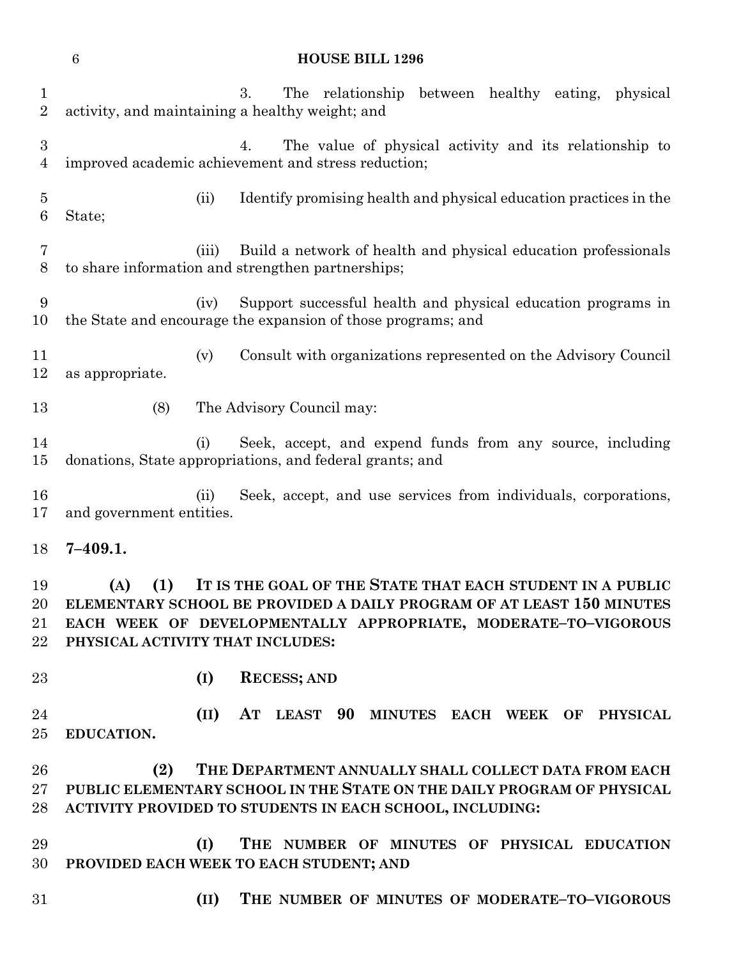| $\mathbf{1}$<br>$\overline{2}$     | 3.<br>The relationship between healthy eating,<br>physical<br>activity, and maintaining a healthy weight; and                                                                                                                                          |
|------------------------------------|--------------------------------------------------------------------------------------------------------------------------------------------------------------------------------------------------------------------------------------------------------|
| $\boldsymbol{3}$<br>$\overline{4}$ | The value of physical activity and its relationship to<br>4.<br>improved academic achievement and stress reduction;                                                                                                                                    |
| $\overline{5}$<br>$6\phantom{.}6$  | (ii)<br>Identify promising health and physical education practices in the<br>State;                                                                                                                                                                    |
| 7<br>$8\,$                         | Build a network of health and physical education professionals<br>(iii)<br>to share information and strengthen partnerships;                                                                                                                           |
| 9<br>10                            | Support successful health and physical education programs in<br>(iv)<br>the State and encourage the expansion of those programs; and                                                                                                                   |
| 11<br>12                           | Consult with organizations represented on the Advisory Council<br>(v)<br>as appropriate.                                                                                                                                                               |
| 13                                 | (8)<br>The Advisory Council may:                                                                                                                                                                                                                       |
| 14<br>$15\,$                       | Seek, accept, and expend funds from any source, including<br>(i)<br>donations, State appropriations, and federal grants; and                                                                                                                           |
| 16<br>17                           | Seek, accept, and use services from individuals, corporations,<br>(ii)<br>and government entities.                                                                                                                                                     |
| 18                                 | $7 - 409.1.$                                                                                                                                                                                                                                           |
|                                    |                                                                                                                                                                                                                                                        |
| 19<br>20<br>21<br>22               | IT IS THE GOAL OF THE STATE THAT EACH STUDENT IN A PUBLIC<br>(1)<br>(A)<br>ELEMENTARY SCHOOL BE PROVIDED A DAILY PROGRAM OF AT LEAST 150 MINUTES<br>EACH WEEK OF DEVELOPMENTALLY APPROPRIATE, MODERATE-TO-VIGOROUS<br>PHYSICAL ACTIVITY THAT INCLUDES: |
| 23                                 | (I)<br><b>RECESS; AND</b>                                                                                                                                                                                                                              |
| 24<br>25                           | (II)<br>AT LEAST 90 MINUTES EACH WEEK OF PHYSICAL<br>EDUCATION.                                                                                                                                                                                        |
| 26<br>$27\,$<br>28                 | THE DEPARTMENT ANNUALLY SHALL COLLECT DATA FROM EACH<br>(2)<br>PUBLIC ELEMENTARY SCHOOL IN THE STATE ON THE DAILY PROGRAM OF PHYSICAL<br>ACTIVITY PROVIDED TO STUDENTS IN EACH SCHOOL, INCLUDING:                                                      |
| 29<br>30                           | THE NUMBER OF MINUTES OF PHYSICAL EDUCATION<br>(I)<br>PROVIDED EACH WEEK TO EACH STUDENT; AND                                                                                                                                                          |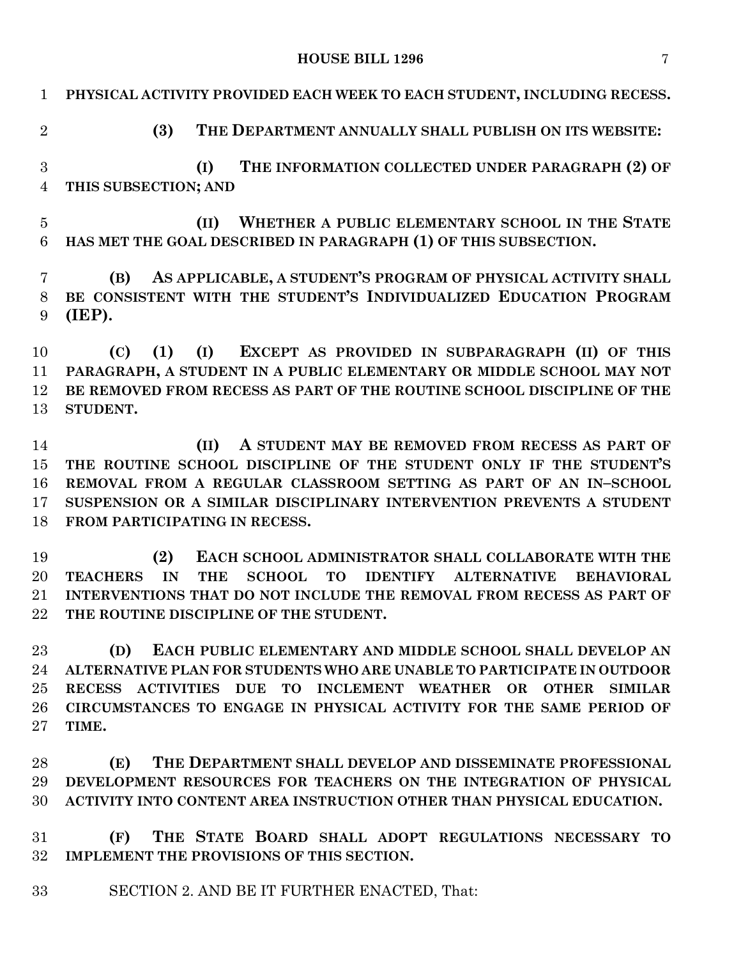**HOUSE BILL 1296** 7

| $\mathbf{1}$               | PHYSICAL ACTIVITY PROVIDED EACH WEEK TO EACH STUDENT, INCLUDING RECESS.                                                                                                                                                                                                                                          |
|----------------------------|------------------------------------------------------------------------------------------------------------------------------------------------------------------------------------------------------------------------------------------------------------------------------------------------------------------|
| $\overline{2}$             | THE DEPARTMENT ANNUALLY SHALL PUBLISH ON ITS WEBSITE:<br>(3)                                                                                                                                                                                                                                                     |
| 3<br>$\overline{4}$        | THE INFORMATION COLLECTED UNDER PARAGRAPH (2) OF<br>(I)<br>THIS SUBSECTION; AND                                                                                                                                                                                                                                  |
| $\overline{5}$<br>6        | WHETHER A PUBLIC ELEMENTARY SCHOOL IN THE STATE<br>(II)<br>HAS MET THE GOAL DESCRIBED IN PARAGRAPH (1) OF THIS SUBSECTION.                                                                                                                                                                                       |
| 7<br>8<br>9                | AS APPLICABLE, A STUDENT'S PROGRAM OF PHYSICAL ACTIVITY SHALL<br>(B)<br>BE CONSISTENT WITH THE STUDENT'S INDIVIDUALIZED EDUCATION PROGRAM<br>(IEP).                                                                                                                                                              |
| 10<br>11<br>12<br>13       | EXCEPT AS PROVIDED IN SUBPARAGRAPH (II) OF THIS<br>(1)<br>(I)<br>(C)<br>PARAGRAPH, A STUDENT IN A PUBLIC ELEMENTARY OR MIDDLE SCHOOL MAY NOT<br>BE REMOVED FROM RECESS AS PART OF THE ROUTINE SCHOOL DISCIPLINE OF THE<br>STUDENT.                                                                               |
| 14<br>15<br>16<br>17<br>18 | A STUDENT MAY BE REMOVED FROM RECESS AS PART OF<br>(II)<br>THE ROUTINE SCHOOL DISCIPLINE OF THE STUDENT ONLY IF THE STUDENT'S<br>REMOVAL FROM A REGULAR CLASSROOM SETTING AS PART OF AN IN-SCHOOL<br>SUSPENSION OR A SIMILAR DISCIPLINARY INTERVENTION PREVENTS A STUDENT<br>FROM PARTICIPATING IN RECESS.       |
| 19<br>20<br>21<br>22       | (2)<br>EACH SCHOOL ADMINISTRATOR SHALL COLLABORATE WITH THE<br>IN<br><b>THE</b><br><b>TO</b><br><b>TEACHERS</b><br><b>SCHOOL</b><br><b>IDENTIFY</b><br><b>ALTERNATIVE</b><br><b>BEHAVIORAL</b><br>INTERVENTIONS THAT DO NOT INCLUDE THE REMOVAL FROM RECESS AS PART OF<br>THE ROUTINE DISCIPLINE OF THE STUDENT. |
| 23<br>24<br>25<br>26<br>27 | EACH PUBLIC ELEMENTARY AND MIDDLE SCHOOL SHALL DEVELOP AN<br>(D)<br>ALTERNATIVE PLAN FOR STUDENTS WHO ARE UNABLE TO PARTICIPATE IN OUTDOOR<br>RECESS ACTIVITIES DUE TO INCLEMENT WEATHER OR OTHER SIMILAR<br>CIRCUMSTANCES TO ENGAGE IN PHYSICAL ACTIVITY FOR THE SAME PERIOD OF<br>TIME.                        |

 **(E) THE DEPARTMENT SHALL DEVELOP AND DISSEMINATE PROFESSIONAL DEVELOPMENT RESOURCES FOR TEACHERS ON THE INTEGRATION OF PHYSICAL ACTIVITY INTO CONTENT AREA INSTRUCTION OTHER THAN PHYSICAL EDUCATION.**

 **(F) THE STATE BOARD SHALL ADOPT REGULATIONS NECESSARY TO IMPLEMENT THE PROVISIONS OF THIS SECTION.**

SECTION 2. AND BE IT FURTHER ENACTED, That: